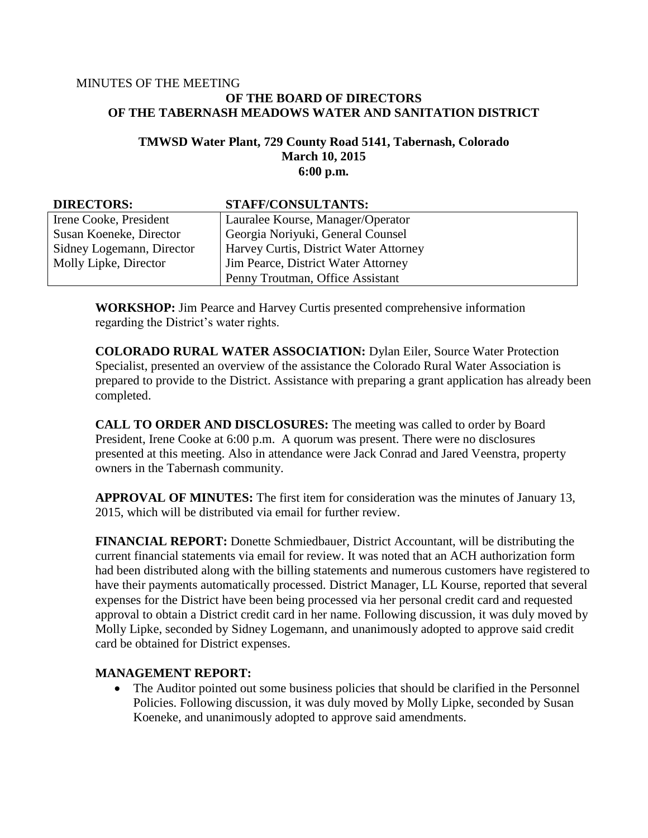#### MINUTES OF THE MEETING **OF THE BOARD OF DIRECTORS OF THE TABERNASH MEADOWS WATER AND SANITATION DISTRICT**

#### **TMWSD Water Plant, 729 County Road 5141, Tabernash, Colorado March 10, 2015 6:00 p.m.**

| <b>DIRECTORS:</b>         | STAFF/CONSULTANTS:                            |
|---------------------------|-----------------------------------------------|
| Irene Cooke, President    | Lauralee Kourse, Manager/Operator             |
| Susan Koeneke, Director   | Georgia Noriyuki, General Counsel             |
| Sidney Logemann, Director | <b>Harvey Curtis, District Water Attorney</b> |
| Molly Lipke, Director     | Jim Pearce, District Water Attorney           |
|                           | Penny Troutman, Office Assistant              |

**WORKSHOP:** Jim Pearce and Harvey Curtis presented comprehensive information regarding the District's water rights.

**COLORADO RURAL WATER ASSOCIATION:** Dylan Eiler, Source Water Protection Specialist, presented an overview of the assistance the Colorado Rural Water Association is prepared to provide to the District. Assistance with preparing a grant application has already been completed.

**CALL TO ORDER AND DISCLOSURES:** The meeting was called to order by Board President, Irene Cooke at 6:00 p.m. A quorum was present. There were no disclosures presented at this meeting. Also in attendance were Jack Conrad and Jared Veenstra, property owners in the Tabernash community.

**APPROVAL OF MINUTES:** The first item for consideration was the minutes of January 13, 2015, which will be distributed via email for further review.

**FINANCIAL REPORT:** Donette Schmiedbauer, District Accountant, will be distributing the current financial statements via email for review. It was noted that an ACH authorization form had been distributed along with the billing statements and numerous customers have registered to have their payments automatically processed. District Manager, LL Kourse, reported that several expenses for the District have been being processed via her personal credit card and requested approval to obtain a District credit card in her name. Following discussion, it was duly moved by Molly Lipke, seconded by Sidney Logemann, and unanimously adopted to approve said credit card be obtained for District expenses.

### **MANAGEMENT REPORT:**

• The Auditor pointed out some business policies that should be clarified in the Personnel Policies. Following discussion, it was duly moved by Molly Lipke, seconded by Susan Koeneke, and unanimously adopted to approve said amendments.